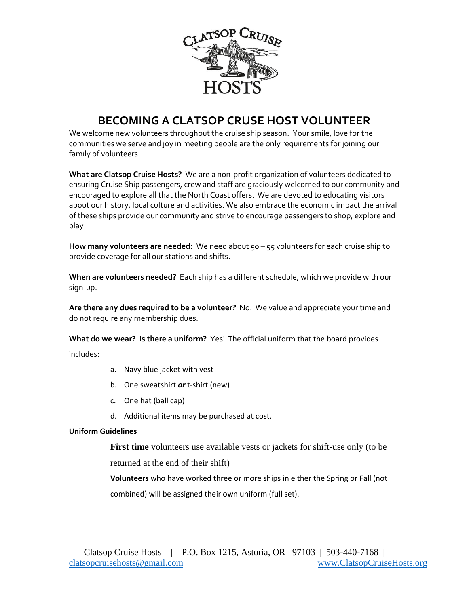

## **BECOMING A CLATSOP CRUSE HOST VOLUNTEER**

We welcome new volunteers throughout the cruise ship season. Your smile, love for the communities we serve and joy in meeting people are the only requirements for joining our family of volunteers.

**What are Clatsop Cruise Hosts?** We are a non-profit organization of volunteers dedicated to ensuring Cruise Ship passengers, crew and staff are graciously welcomed to our community and encouraged to explore all that the North Coast offers. We are devoted to educating visitors about our history, local culture and activities. We also embrace the economic impact the arrival of these ships provide our community and strive to encourage passengers to shop, explore and play

**How many volunteers are needed:** We need about 50 – 55 volunteers for each cruise ship to provide coverage for all our stations and shifts.

**When are volunteers needed?** Each ship has a different schedule, which we provide with our sign-up.

**Are there any dues required to be a volunteer?** No. We value and appreciate your time and do not require any membership dues.

**What do we wear? Is there a uniform?** Yes! The official uniform that the board provides

includes:

- a. Navy blue jacket with vest
- b. One sweatshirt *or* t-shirt (new)
- c. One hat (ball cap)
- d. Additional items may be purchased at cost.

## **Uniform Guidelines**

**First time** volunteers use available vests or jackets for shift-use only (to be returned at the end of their shift)

**Volunteers** who have worked three or more ships in either the Spring or Fall (not combined) will be assigned their own uniform (full set).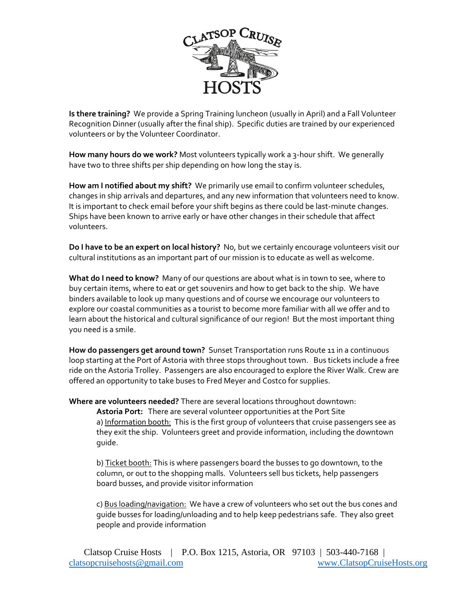

**Is there training?** We provide a Spring Training luncheon (usually in April) and a Fall Volunteer Recognition Dinner (usually after the final ship). Specific duties are trained by our experienced volunteers or by the Volunteer Coordinator.

**How many hours do we work?** Most volunteers typically work a 3-hour shift. We generally have two to three shifts per ship depending on how long the stay is.

**How am I notified about my shift?** We primarily use email to confirm volunteer schedules, changes in ship arrivals and departures, and any new information that volunteers need to know. It is important to check email before your shift begins as there could be last-minute changes. Ships have been known to arrive early or have other changes in their schedule that affect volunteers.

**Do I have to be an expert on local history?** No, but we certainly encourage volunteers visit our cultural institutions as an important part of our mission is to educate as well as welcome.

**What do I need to know?** Many of our questions are about what is in town to see, where to buy certain items, where to eat or get souvenirs and how to get back to the ship. We have binders available to look up many questions and of course we encourage our volunteers to explore our coastal communities as a tourist to become more familiar with all we offer and to learn about the historical and cultural significance of our region! But the most important thing you need is a smile.

**How do passengers get around town?** Sunset Transportation runs Route 11 in a continuous loop starting at the Port of Astoria with three stops throughout town. Bus tickets include a free ride on the Astoria Trolley. Passengers are also encouraged to explore the River Walk. Crew are offered an opportunity to take buses to Fred Meyer and Costco for supplies.

**Where are volunteers needed?** There are several locations throughout downtown:

**Astoria Port:** There are several volunteer opportunities at the Port Site a) Information booth: This is the first group of volunteers that cruise passengers see as they exit the ship. Volunteers greet and provide information, including the downtown guide.

b) Ticket booth: This is where passengers board the busses to go downtown, to the column, or out to the shopping malls. Volunteers sell bus tickets, help passengers board busses, and provide visitor information

c) Bus loading/navigation: We have a crew of volunteers who set out the bus cones and guide busses for loading/unloading and to help keep pedestrians safe. They also greet people and provide information